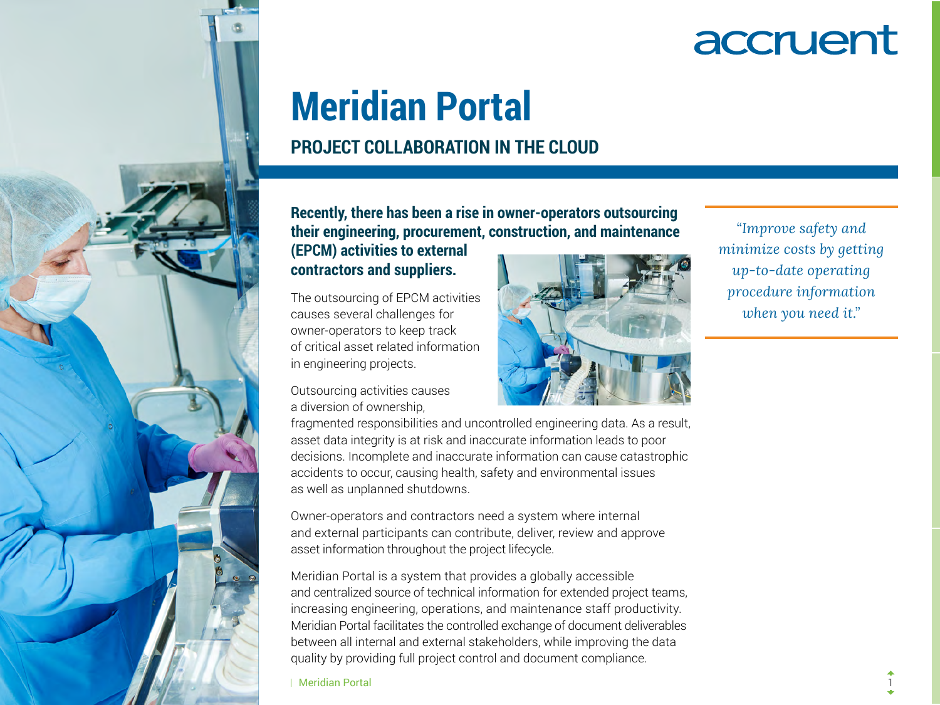

# **Meridian Portal**

### **PROJECT COLLABORATION IN THE CLOUD**

**Recently, there has been a rise in owner-operators outsourcing their engineering, procurement, construction, and maintenance** 

#### **(EPCM) activities to external contractors and suppliers.**

The outsourcing of EPCM activities causes several challenges for owner-operators to keep track of critical asset related information in engineering projects.

Outsourcing activities causes a diversion of ownership,

*"Improve safety and minimize costs by getting up-to-date operating procedure information when you need it."*

fragmented responsibilities and uncontrolled engineering data. As a result, asset data integrity is at risk and inaccurate information leads to poor decisions. Incomplete and inaccurate information can cause catastrophic accidents to occur, causing health, safety and environmental issues as well as unplanned shutdowns.

Owner-operators and contractors need a system where internal and external participants can contribute, deliver, review and approve asset information throughout the project lifecycle.

Meridian Portal is a system that provides a globally accessible and centralized source of technical information for extended project teams, increasing engineering, operations, and maintenance staff productivity. Meridian Portal facilitates the controlled exchange of document deliverables between all internal and external stakeholders, while improving the data quality by providing full project control and document compliance.

Meridian Portal 1

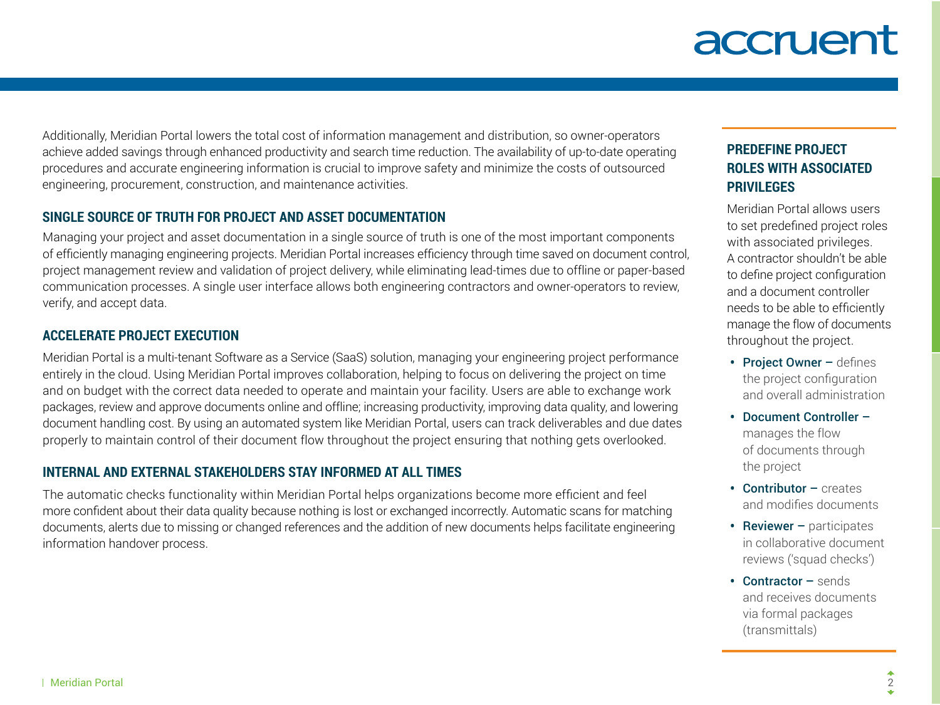Additionally, Meridian Portal lowers the total cost of information management and distribution, so owner-operators achieve added savings through enhanced productivity and search time reduction. The availability of up-to-date operating procedures and accurate engineering information is crucial to improve safety and minimize the costs of outsourced engineering, procurement, construction, and maintenance activities.

#### **SINGLE SOURCE OF TRUTH FOR PROJECT AND ASSET DOCUMENTATION**

Managing your project and asset documentation in a single source of truth is one of the most important components of efficiently managing engineering projects. Meridian Portal increases efficiency through time saved on document control, project management review and validation of project delivery, while eliminating lead-times due to offline or paper-based communication processes. A single user interface allows both engineering contractors and owner-operators to review, verify, and accept data.

#### **ACCELERATE PROJECT EXECUTION**

Meridian Portal is a multi-tenant Software as a Service (SaaS) solution, managing your engineering project performance entirely in the cloud. Using Meridian Portal improves collaboration, helping to focus on delivering the project on time and on budget with the correct data needed to operate and maintain your facility. Users are able to exchange work packages, review and approve documents online and offline; increasing productivity, improving data quality, and lowering document handling cost. By using an automated system like Meridian Portal, users can track deliverables and due dates properly to maintain control of their document flow throughout the project ensuring that nothing gets overlooked.

#### **INTERNAL AND EXTERNAL STAKEHOLDERS STAY INFORMED AT ALL TIMES**

The automatic checks functionality within Meridian Portal helps organizations become more efficient and feel more confident about their data quality because nothing is lost or exchanged incorrectly. Automatic scans for matching documents, alerts due to missing or changed references and the addition of new documents helps facilitate engineering information handover process.

### **PREDEFINE PROJECT ROLES WITH ASSOCIATED PRIVILEGES**

Meridian Portal allows users to set predefined project roles with associated privileges. A contractor shouldn't be able to define project configuration and a document controller needs to be able to efficiently manage the flow of documents throughout the project.

- Project Owner defines the project configuration and overall administration
- Document Controller manages the flow of documents through the project
- **Contributor creates** and modifies documents
- Reviewer participates in collaborative document reviews ('squad checks')
- **Contractor sends** and receives documents via formal packages (transmittals)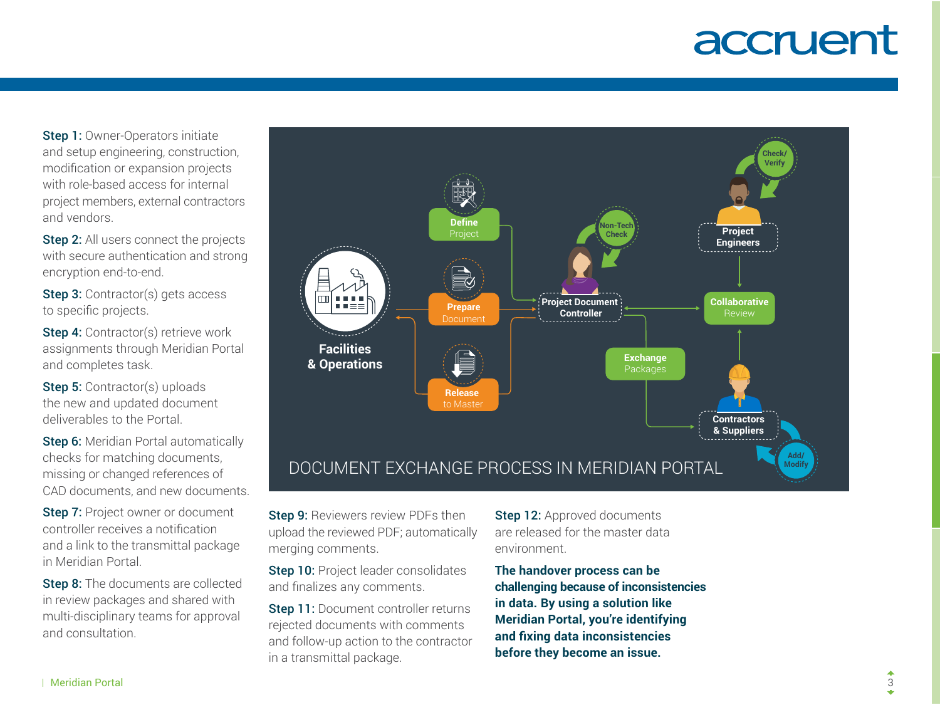**Step 1: Owner-Operators initiate** and setup engineering, construction, modification or expansion projects with role-based access for internal project members, external contractors and vendors.

Step 2: All users connect the projects with secure authentication and strong encryption end-to-end.

Step 3: Contractor(s) gets access to specific projects.

Step 4: Contractor(s) retrieve work assignments through Meridian Portal and completes task.

Step 5: Contractor(s) uploads the new and updated document deliverables to the Portal.

Step 6: Meridian Portal automatically checks for matching documents, missing or changed references of CAD documents, and new documents.

Step 7: Project owner or document controller receives a notification and a link to the transmittal package in Meridian Portal.

Step 8: The documents are collected in review packages and shared with multi-disciplinary teams for approval and consultation.



Step 9: Reviewers review PDFs then upload the reviewed PDF; automatically merging comments.

Step 10: Project leader consolidates and finalizes any comments.

Step 11: Document controller returns rejected documents with comments and follow-up action to the contractor in a transmittal package.

Step 12: Approved documents are released for the master data environment.

**The handover process can be challenging because of inconsistencies in data. By using a solution like Meridian Portal, you're identifying and fixing data inconsistencies before they become an issue.**